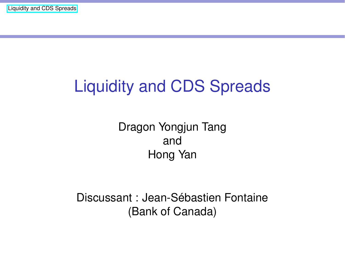# Liquidity and CDS Spreads

Dragon Yongjun Tang and Hong Yan

Discussant : Jean-Sébastien Fontaine (Bank of Canada)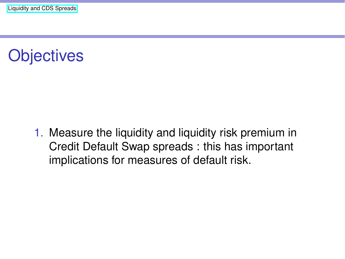# **Objectives**

1. Measure the liquidity and liquidity risk premium in Credit Default Swap spreads : this has important implications for measures of default risk.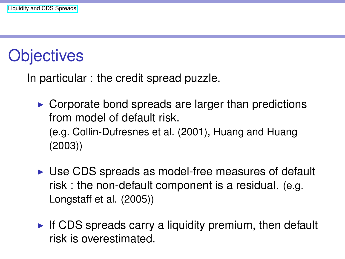#### **Objectives**

In particular : the credit spread puzzle.

- $\triangleright$  Corporate bond spreads are larger than predictions from model of default risk. (e.g. Collin-Dufresnes et al. (2001), Huang and Huang (2003))
- $\triangleright$  Use CDS spreads as model-free measures of default risk : the non-default component is a residual. (e.g. Longstaff et al. (2005))
- $\blacktriangleright$  If CDS spreads carry a liquidity premium, then default risk is overestimated.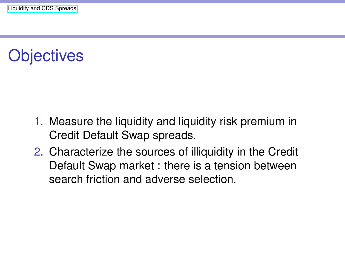# **Objectives**

- 1. Measure the liquidity and liquidity risk premium in Credit Default Swap spreads.
- 2. Characterize the sources of illiquidity in the Credit Default Swap market : there is a tension between search friction and adverse selection.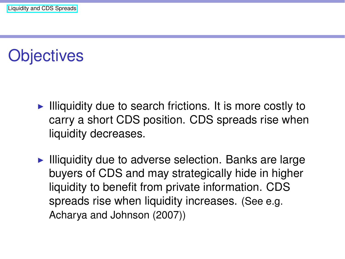#### **Objectives**

- $\blacktriangleright$  Illiquidity due to search frictions. It is more costly to carry a short CDS position. CDS spreads rise when liquidity decreases.
- $\blacktriangleright$  Illiquidity due to adverse selection. Banks are large buyers of CDS and may strategically hide in higher liquidity to benefit from private information. CDS spreads rise when liquidity increases. (See e.g. Acharya and Johnson (2007))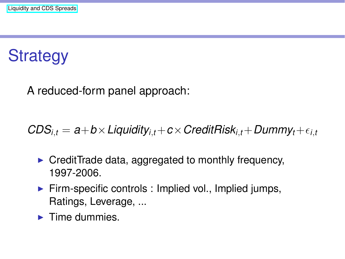## **Strategy**

A reduced-form panel approach:

 $CDS_{i,t} = a+b \times Liquidity_{i,t} + c \times CreditRisk_{i,t} + Dummy_t + \epsilon_{i,t}$ 

- $\triangleright$  CreditTrade data, aggregated to monthly frequency, 1997-2006.
- $\blacktriangleright$  Firm-specific controls : Implied vol., Implied jumps, Ratings, Leverage, ...
- $\blacktriangleright$  Time dummies.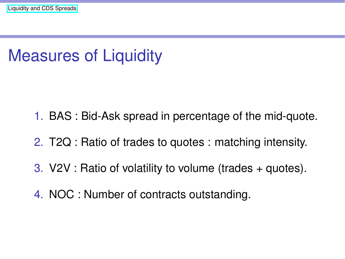### Measures of Liquidity

- 1. BAS : Bid-Ask spread in percentage of the mid-quote.
- 2. T2Q : Ratio of trades to quotes : matching intensity.
- 3. V2V : Ratio of volatility to volume (trades + quotes).
- 4. NOC : Number of contracts outstanding.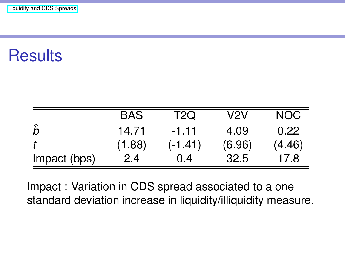# **Results**

|              | BAS    | T2Q     | V2V    | <b>NOC</b> |
|--------------|--------|---------|--------|------------|
|              | 14.71  | $-1.11$ | 4.09   | 0.22       |
|              | (1.88) | (-1.41) | (6.96) | (4.46)     |
| Impact (bps) | 2.4    | 0.4     | 32.5   | 17.8       |

Impact : Variation in CDS spread associated to a one standard deviation increase in liquidity/illiquidity measure.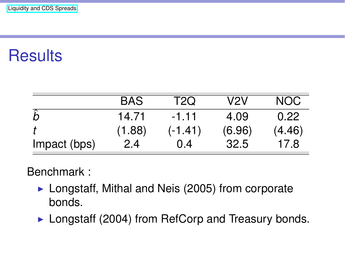### **Results**

|              | <b>BAS</b> | T2Q       | V2V    | NOC.   |
|--------------|------------|-----------|--------|--------|
|              | 14.71      | $-1.11$   | 4.09   | 0.22   |
|              | (1.88)     | $(-1.41)$ | (6.96) | (4.46) |
| Impact (bps) | 2.4        | (0.4)     | 32.5   | 17.8   |

Benchmark :

- $\blacktriangleright$  Longstaff, Mithal and Neis (2005) from corporate bonds.
- $\blacktriangleright$  Longstaff (2004) from RefCorp and Treasury bonds.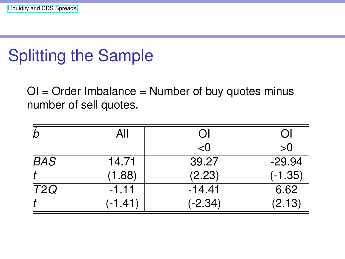# Splitting the Sample

OI = Order Imbalance = Number of buy quotes minus number of sell quotes.

| ĥ                | All       | ΩI        | OI        |
|------------------|-----------|-----------|-----------|
|                  |           | < 0       | >0        |
| <b>BAS</b>       | 14.71     | 39.27     | $-29.94$  |
|                  | (1.88)    | (2.23)    | $(-1.35)$ |
| T <sub>2</sub> Q | $-1.11$   | $-14.41$  | 6.62      |
|                  | $(-1.41)$ | $(-2.34)$ | (2.13)    |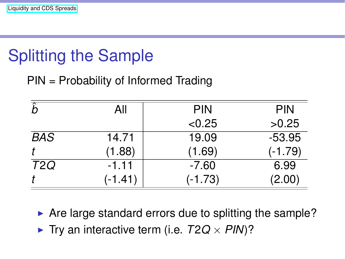# Splitting the Sample

PIN = Probability of Informed Trading

| ?          | All       | <b>PIN</b> | <b>PIN</b> |
|------------|-----------|------------|------------|
|            |           | < 0.25     | >0.25      |
| <b>BAS</b> | 14.71     | 19.09      | $-53.95$   |
|            | (1.88)    | (1.69)     | $(-1.79)$  |
| T2Q        | $-1.11$   | $-7.60$    | 6.99       |
|            | $(-1.41)$ | $(-1.73)$  | (2.00)     |

 $\blacktriangleright$  Are large standard errors due to splitting the sample?

 $\blacktriangleright$  Try an interactive term (i.e.  $T2Q \times PIN$ )?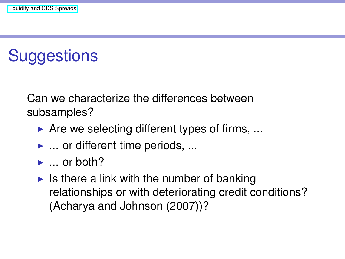### **Suggestions**

Can we characterize the differences between subsamples?

- $\blacktriangleright$  Are we selecting different types of firms, ...
- $\blacktriangleright$  ... or different time periods, ...
- $\blacktriangleright$  ... or both?
- $\blacktriangleright$  Is there a link with the number of banking relationships or with deteriorating credit conditions? (Acharya and Johnson (2007))?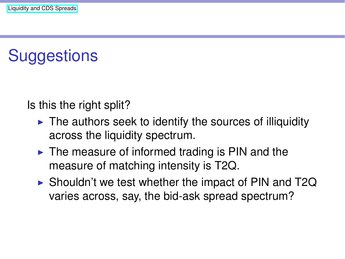### **Suggestions**

Is this the right split?

- $\blacktriangleright$  The authors seek to identify the sources of illiquidity across the liquidity spectrum.
- $\blacktriangleright$  The measure of informed trading is PIN and the measure of matching intensity is T2Q.
- $\triangleright$  Shouldn't we test whether the impact of PIN and T2Q varies across, say, the bid-ask spread spectrum?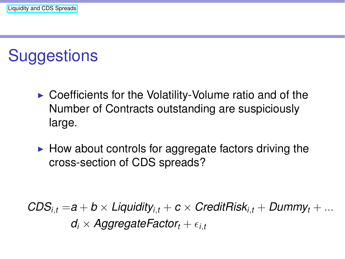#### **Suggestions**

- $\blacktriangleright$  Coefficients for the Volatility-Volume ratio and of the Number of Contracts outstanding are suspiciously large.
- $\blacktriangleright$  How about controls for aggregate factors driving the cross-section of CDS spreads?

 $CDS_{i,t} = a + b \times Liquidity_{i,t} + c \times CreditRisk_{i,t} + Dummy_t + ...$  $d_i \times$  *AggregateFactor*<sub> $t$ </sub> +  $\epsilon_{i,t}$